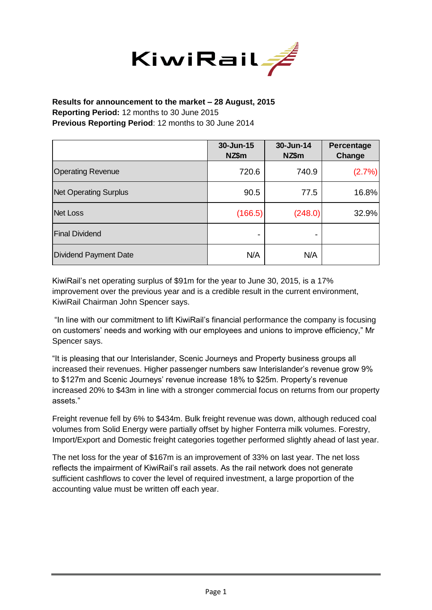

## **Results for announcement to the market – 28 August, 2015 Reporting Period:** 12 months to 30 June 2015 **Previous Reporting Period**: 12 months to 30 June 2014

|                              | 30-Jun-15<br>NZ\$m | 30-Jun-14<br>NZ\$m | <b>Percentage</b><br>Change |
|------------------------------|--------------------|--------------------|-----------------------------|
| <b>Operating Revenue</b>     | 720.6              | 740.9              | (2.7%)                      |
| <b>Net Operating Surplus</b> | 90.5               | 77.5               | 16.8%                       |
| <b>Net Loss</b>              | (166.5)            | (248.0)            | 32.9%                       |
| <b>Final Dividend</b>        |                    |                    |                             |
| <b>Dividend Payment Date</b> | N/A                | N/A                |                             |

KiwiRail's net operating surplus of \$91m for the year to June 30, 2015, is a 17% improvement over the previous year and is a credible result in the current environment, KiwiRail Chairman John Spencer says.

"In line with our commitment to lift KiwiRail's financial performance the company is focusing on customers' needs and working with our employees and unions to improve efficiency," Mr Spencer says.

"It is pleasing that our Interislander, Scenic Journeys and Property business groups all increased their revenues. Higher passenger numbers saw Interislander's revenue grow 9% to \$127m and Scenic Journeys' revenue increase 18% to \$25m. Property's revenue increased 20% to \$43m in line with a stronger commercial focus on returns from our property assets."

Freight revenue fell by 6% to \$434m. Bulk freight revenue was down, although reduced coal volumes from Solid Energy were partially offset by higher Fonterra milk volumes. Forestry, Import/Export and Domestic freight categories together performed slightly ahead of last year.

The net loss for the year of \$167m is an improvement of 33% on last year. The net loss reflects the impairment of KiwiRail's rail assets. As the rail network does not generate sufficient cashflows to cover the level of required investment, a large proportion of the accounting value must be written off each year.